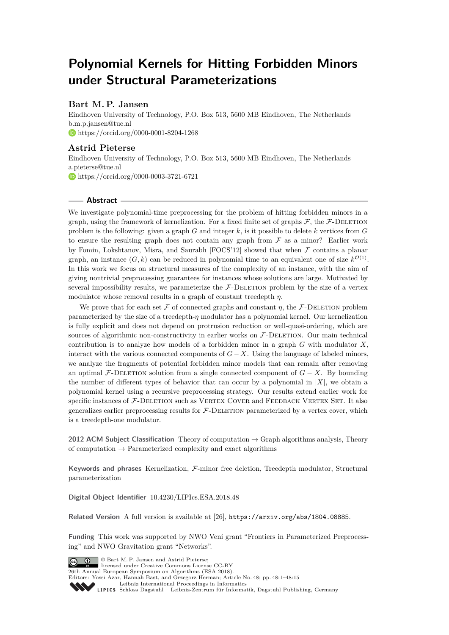# **Polynomial Kernels for Hitting Forbidden Minors under Structural Parameterizations**

# **Bart M. P. Jansen**

Eindhoven University of Technology, P.O. Box 513, 5600 MB Eindhoven, The Netherlands [b.m.p.jansen@tue.nl](mailto:b.m.p.jansen@tue.nl) <https://orcid.org/0000-0001-8204-1268>

## **Astrid Pieterse**

Eindhoven University of Technology, P.O. Box 513, 5600 MB Eindhoven, The Netherlands [a.pieterse@tue.nl](mailto:a.pieterse@tue.nl) <https://orcid.org/0000-0003-3721-6721>

### **Abstract**

We investigate polynomial-time preprocessing for the problem of hitting forbidden minors in a graph, using the framework of kernelization. For a fixed finite set of graphs  $\mathcal{F}$ , the  $\mathcal{F}$ -DELETION problem is the following: given a graph *G* and integer *k*, is it possible to delete *k* vertices from *G* to ensure the resulting graph does not contain any graph from  $\mathcal F$  as a minor? Earlier work by Fomin, Lokshtanov, Misra, and Saurabh [FOCS'12] showed that when  $\mathcal F$  contains a planar graph, an instance  $(G, k)$  can be reduced in polynomial time to an equivalent one of size  $k^{\mathcal{O}(1)}$ . In this work we focus on structural measures of the complexity of an instance, with the aim of giving nontrivial preprocessing guarantees for instances whose solutions are large. Motivated by several impossibility results, we parameterize the  $F$ -DELETION problem by the size of a vertex modulator whose removal results in a graph of constant treedepth *η*.

We prove that for each set F of connected graphs and constant  $\eta$ , the F-DELETION problem parameterized by the size of a treedepth-*η* modulator has a polynomial kernel. Our kernelization is fully explicit and does not depend on protrusion reduction or well-quasi-ordering, which are sources of algorithmic non-constructivity in earlier works on  $F$ -DELETION. Our main technical contribution is to analyze how models of a forbidden minor in a graph *G* with modulator *X*, interact with the various connected components of  $G - X$ . Using the language of labeled minors, we analyze the fragments of potential forbidden minor models that can remain after removing an optimal F-DELETION solution from a single connected component of  $G - X$ . By bounding the number of different types of behavior that can occur by a polynomial in  $|X|$ , we obtain a polynomial kernel using a recursive preprocessing strategy. Our results extend earlier work for specific instances of  $F$ -DELETION such as VERTEX COVER and FEEDBACK VERTEX SET. It also generalizes earlier preprocessing results for  $F$ -DELETION parameterized by a vertex cover, which is a treedepth-one modulator.

**2012 ACM Subject Classification** Theory of computation → Graph algorithms analysis, Theory of computation  $\rightarrow$  Parameterized complexity and exact algorithms

**Keywords and phrases** Kernelization, F-minor free deletion, Treedepth modulator, Structural parameterization

**Digital Object Identifier** [10.4230/LIPIcs.ESA.2018.48](http://dx.doi.org/10.4230/LIPIcs.ESA.2018.48)

**Related Version** A full version is available at [\[26\]](#page-13-0), <https://arxiv.org/abs/1804.08885>.

**Funding** This work was supported by NWO Veni grant "Frontiers in Parameterized Preprocessing" and NWO Gravitation grant "Networks".

© Bart M. P. Jansen and Astrid Pieterse; licensed under Creative Commons License CC-BY 26th Annual European Symposium on Algorithms (ESA 2018). Editors: Yossi Azar, Hannah Bast, and Grzegorz Herman; Article No. 48; pp. 48:1–48[:15](#page-14-0) [Leibniz International Proceedings in Informatics](http://www.dagstuhl.de/lipics/) [Schloss Dagstuhl – Leibniz-Zentrum für Informatik, Dagstuhl Publishing, Germany](http://www.dagstuhl.de)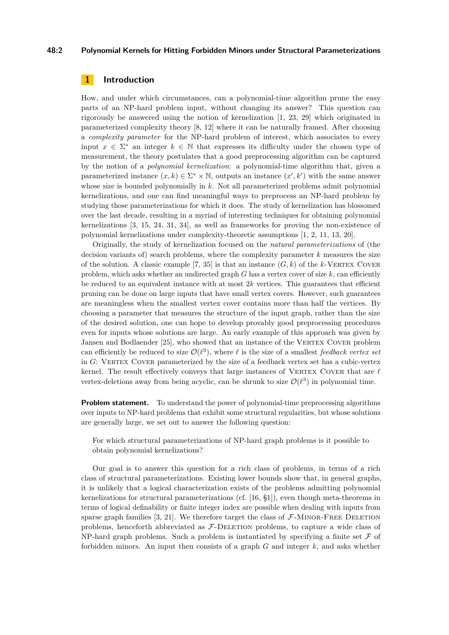#### **48:2 Polynomial Kernels for Hitting Forbidden Minors under Structural Parameterizations**

## **1 Introduction**

How, and under which circumstances, can a polynomial-time algorithm prune the easy parts of an NP-hard problem input, without changing its answer? This question can rigorously be answered using the notion of kernelization [\[1,](#page-12-0) [23,](#page-13-1) [29\]](#page-13-2) which originated in parameterized complexity theory [\[8,](#page-12-1) [12\]](#page-12-2) where it can be naturally framed. After choosing a *complexity parameter* for the NP-hard problem of interest, which associates to every input  $x \in \Sigma^*$  an integer  $k \in \mathbb{N}$  that expresses its difficulty under the chosen type of measurement, the theory postulates that a good preprocessing algorithm can be captured by the notion of a *polynomial kernelization*: a polynomial-time algorithm that, given a parameterized instance  $(x, k) \in \Sigma^* \times \mathbb{N}$ , outputs an instance  $(x', k')$  with the same answer whose size is bounded polynomially in *k*. Not all parameterized problems admit polynomial kernelizations, and one can find meaningful ways to preprocess an NP-hard problem by studying those parameterizations for which it does. The study of kernelization has blossomed over the last decade, resulting in a myriad of interesting techniques for obtaining polynomial kernelizations [\[3,](#page-12-3) [15,](#page-12-4) [24,](#page-13-3) [31,](#page-13-4) [34\]](#page-14-1), as well as frameworks for proving the non-existence of polynomial kernelizations under complexity-theoretic assumptions [\[1,](#page-12-0) [2,](#page-12-5) [11,](#page-12-6) [13,](#page-12-7) [20\]](#page-13-5).

Originally, the study of kernelization focused on the *natural parameterizations* of (the decision variants of) search problems, where the complexity parameter *k* measures the size of the solution. A classic example [\[7,](#page-12-8) [35\]](#page-14-2) is that an instance  $(G, k)$  of the  $k$ -VERTEX COVER problem, which asks whether an undirected graph  $G$  has a vertex cover of size  $k$ , can efficiently be reduced to an equivalent instance with at most  $2k$  vertices. This guarantees that efficient pruning can be done on large inputs that have small vertex covers. However, such guarantees are meaningless when the smallest vertex cover contains more than half the vertices. By choosing a parameter that measures the structure of the input graph, rather than the size of the desired solution, one can hope to develop provably good preprocessing procedures even for inputs whose solutions are large. An early example of this approach was given by Jansen and Bodlaender [\[25\]](#page-13-6), who showed that an instance of the VERTEX COVER problem can efficiently be reduced to size  $\mathcal{O}(\ell^3)$ , where  $\ell$  is the size of a smallest *feedback vertex set* in *G*: Vertex Cover parameterized by the size of a feedback vertex set has a cubic-vertex kernel. The result effectively conveys that large instances of VERTEX COVER that are  $\ell$ vertex-deletions away from being acyclic, can be shrunk to size  $\mathcal{O}(\ell^3)$  in polynomial time.

**Problem statement.** To understand the power of polynomial-time preprocessing algorithms over inputs to NP-hard problems that exhibit some structural regularities, but whose solutions are generally large, we set out to answer the following question:

For which structural parameterizations of NP-hard graph problems is it possible to obtain polynomial kernelizations?

Our goal is to answer this question for a rich class of problems, in terms of a rich class of structural parameterizations. Existing lower bounds show that, in general graphs, it is unlikely that a logical characterization exists of the problems admitting polynomial kernelizations for structural parameterizations (cf. [\[16,](#page-12-9) §1]), even though meta-theorems in terms of logical definability or finite integer index are possible when dealing with inputs from sparse graph families  $[3, 21]$  $[3, 21]$  $[3, 21]$ . We therefore target the class of  $\mathcal{F}\text{-MINOR-FREE DELETION}$ problems, henceforth abbreviated as  $F$ -DELETION problems, to capture a wide class of NP-hard graph problems. Such a problem is instantiated by specifying a finite set  $\mathcal F$  of forbidden minors. An input then consists of a graph *G* and integer *k*, and asks whether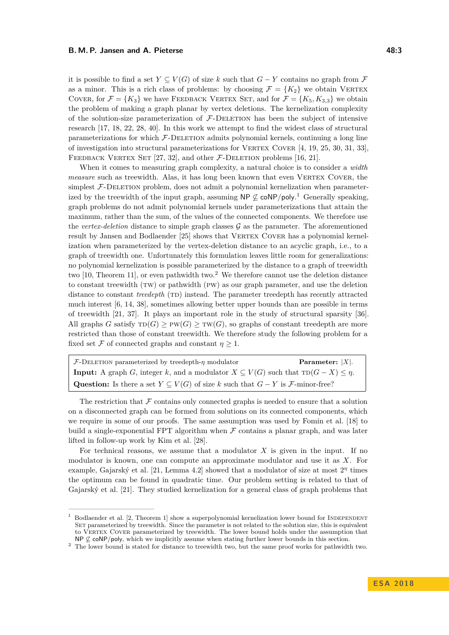it is possible to find a set  $Y \subseteq V(G)$  of size k such that  $G - Y$  contains no graph from F as a minor. This is a rich class of problems: by choosing  $\mathcal{F} = \{K_2\}$  we obtain VERTEX COVER, for  $\mathcal{F} = \{K_3\}$  we have FEEDBACK VERTEX SET, and for  $\mathcal{F} = \{K_5, K_{3,3}\}$  we obtain the problem of making a graph planar by vertex deletions. The kernelization complexity of the solution-size parameterization of  $F$ -DELETION has been the subject of intensive research [\[17,](#page-13-8) [18,](#page-13-9) [22,](#page-13-10) [28,](#page-13-11) [40\]](#page-14-3). In this work we attempt to find the widest class of structural parameterizations for which  $F$ -DELETION admits polynomial kernels, continuing a long line of investigation into structural parameterizations for VERTEX COVER  $[4, 19, 25, 30, 31, 33]$  $[4, 19, 25, 30, 31, 33]$  $[4, 19, 25, 30, 31, 33]$  $[4, 19, 25, 30, 31, 33]$  $[4, 19, 25, 30, 31, 33]$  $[4, 19, 25, 30, 31, 33]$  $[4, 19, 25, 30, 31, 33]$  $[4, 19, 25, 30, 31, 33]$  $[4, 19, 25, 30, 31, 33]$  $[4, 19, 25, 30, 31, 33]$  $[4, 19, 25, 30, 31, 33]$ , FEEDBACK VERTEX SET  $[27, 32]$  $[27, 32]$ , and other *F*-DELETION problems  $[16, 21]$  $[16, 21]$ .

When it comes to measuring graph complexity, a natural choice is to consider a *width measure* such as treewidth. Alas, it has long been known that even VERTEX COVER, the simplest  $F$ -DELETION problem, does not admit a polynomial kernelization when parameterized by the treewidth of the input graph, assuming  $\mathsf{NP} \not\subseteq \mathsf{coNP/poly}.$ <sup>[1](#page-2-0)</sup> Generally speaking, graph problems do not admit polynomial kernels under parameterizations that attain the maximum, rather than the sum, of the values of the connected components. We therefore use the *vertex-deletion* distance to simple graph classes  $\mathcal G$  as the parameter. The aforementioned result by Jansen and Bodlaender [\[25\]](#page-13-6) shows that VERTEX COVER has a polynomial kernelization when parameterized by the vertex-deletion distance to an acyclic graph, i.e., to a graph of treewidth one. Unfortunately this formulation leaves little room for generalizations: no polynomial kernelization is possible parameterized by the distance to a graph of treewidth two  $[10,$  Theorem 11], or even pathwidth two.<sup>[2](#page-2-1)</sup> We therefore cannot use the deletion distance to constant treewidth (TW) or pathwidth (PW) as our graph parameter, and use the deletion distance to constant *treedepth* (TD) instead. The parameter treedepth has recently attracted much interest [\[6,](#page-12-12) [14,](#page-12-13) [38\]](#page-14-4), sometimes allowing better upper bounds than are possible in terms of treewidth [\[21,](#page-13-7) [37\]](#page-14-5). It plays an important role in the study of structural sparsity [\[36\]](#page-14-6). All graphs *G* satisfy  $TD(G) \ge PW(G) \ge TW(G)$ , so graphs of constant treedepth are more restricted than those of constant treewidth. We therefore study the following problem for a fixed set F of connected graphs and constant  $\eta \geq 1$ .

F-Deletion parameterized by treedepth-*η* modulator **Parameter:** |*X*|. **Input:** A graph *G*, integer *k*, and a modulator  $X \subseteq V(G)$  such that  $TD(G - X) \leq \eta$ . **Question:** Is there a set  $Y \subseteq V(G)$  of size  $k$  such that  $G - Y$  is  $\mathcal{F}\text{-minor-free}$ ?

The restriction that  $\mathcal F$  contains only connected graphs is needed to ensure that a solution on a disconnected graph can be formed from solutions on its connected components, which we require in some of our proofs. The same assumption was used by Fomin et al. [\[18\]](#page-13-9) to build a single-exponential FPT algorithm when  $\mathcal F$  contains a planar graph, and was later lifted in follow-up work by Kim et al. [\[28\]](#page-13-11).

For technical reasons, we assume that a modulator *X* is given in the input. If no modulator is known, one can compute an approximate modulator and use it as *X*. For example, Gajarský et al. [\[21,](#page-13-7) Lemma 4.2] showed that a modulator of size at most 2<sup>η</sup> times the optimum can be found in quadratic time. Our problem setting is related to that of Gajarský et al. [\[21\]](#page-13-7). They studied kernelization for a general class of graph problems that

<span id="page-2-0"></span>Bodlaender et al. [\[2,](#page-12-5) Theorem 1] show a superpolynomial kernelization lower bound for INDEPENDENT SET parameterized by treewidth. Since the parameter is not related to the solution size, this is equivalent to VERTEX COVER parameterized by treewidth. The lower bound holds under the assumption that NP  $\mathcal{Q}$  coNP/poly, which we implicitly assume when stating further lower bounds in this section.

<span id="page-2-1"></span><sup>2</sup> The lower bound is stated for distance to treewidth two, but the same proof works for pathwidth two.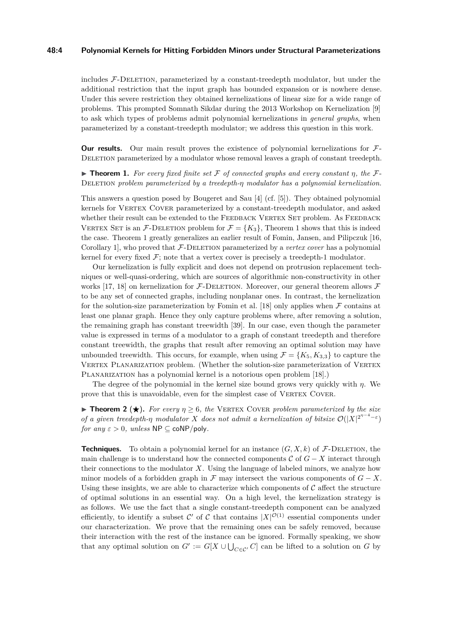#### **48:4 Polynomial Kernels for Hitting Forbidden Minors under Structural Parameterizations**

includes  $F$ -DELETION, parameterized by a constant-treedepth modulator, but under the additional restriction that the input graph has bounded expansion or is nowhere dense. Under this severe restriction they obtained kernelizations of linear size for a wide range of problems. This prompted Somnath Sikdar during the 2013 Workshop on Kernelization [\[9\]](#page-12-14) to ask which types of problems admit polynomial kernelizations in *general graphs*, when parameterized by a constant-treedepth modulator; we address this question in this work.

**Our results.** Our main result proves the existence of polynomial kernelizations for  $\mathcal{F}$ -DELETION parameterized by a modulator whose removal leaves a graph of constant treedepth.

<span id="page-3-0"></span>I **Theorem 1.** *For every fixed finite set* F *of connected graphs and every constant η, the* F-Deletion *problem parameterized by a treedepth-η modulator has a polynomial kernelization.*

This answers a question posed by Bougeret and Sau [\[4\]](#page-12-10) (cf. [\[5\]](#page-12-15)). They obtained polynomial kernels for VERTEX COVER parameterized by a constant-treedepth modulator, and asked whether their result can be extended to the FEEDBACK VERTEX SET problem. As FEEDBACK VERTEX SET is an F-DELETION problem for  $\mathcal{F} = \{K_3\}$ , Theorem [1](#page-3-0) shows that this is indeed the case. Theorem [1](#page-3-0) greatly generalizes an earlier result of Fomin, Jansen, and Pilipczuk [\[16,](#page-12-9) Corollary 1, who proved that F-DELETION parameterized by a *vertex cover* has a polynomial kernel for every fixed  $\mathcal{F}$ ; note that a vertex cover is precisely a treedepth-1 modulator.

Our kernelization is fully explicit and does not depend on protrusion replacement techniques or well-quasi-ordering, which are sources of algorithmic non-constructivity in other works [\[17,](#page-13-8) [18\]](#page-13-9) on kernelization for  $\mathcal{F}\text{-}\text{DELETION}$ . Moreover, our general theorem allows  $\mathcal F$ to be any set of connected graphs, including nonplanar ones. In contrast, the kernelization for the solution-size parameterization by Fomin et al. [\[18\]](#page-13-9) only applies when  $\mathcal F$  contains at least one planar graph. Hence they only capture problems where, after removing a solution, the remaining graph has constant treewidth [\[39\]](#page-14-7). In our case, even though the parameter value is expressed in terms of a modulator to a graph of constant treedepth and therefore constant treewidth, the graphs that result after removing an optimal solution may have unbounded treewidth. This occurs, for example, when using  $\mathcal{F} = \{K_5, K_{3,3}\}\)$  to capture the VERTEX PLANARIZATION problem. (Whether the solution-size parameterization of VERTEX PLANARIZATION has a polynomial kernel is a notorious open problem [\[18\]](#page-13-9).)

The degree of the polynomial in the kernel size bound grows very quickly with *η*. We prove that this is unavoidable, even for the simplest case of VERTEX COVER.

<span id="page-3-1"></span>**Theorem 2** ( $\star$ ). *For every*  $\eta \geq 6$ , *the* VERTEX COVER *problem parameterized by the size of a given treedepth-η modulator X does not admit a kernelization of bitsize*  $\mathcal{O}(|X|^{2^{n-4}-\varepsilon})$ *for any*  $\varepsilon > 0$ *, unless*  $\textsf{NP} \subseteq \textsf{coNP/poly}.$ 

**Techniques.** To obtain a polynomial kernel for an instance  $(G, X, k)$  of  $\mathcal{F}\text{-DEEATION}$ , the main challenge is to understand how the connected components  $\mathcal{C}$  of  $G - X$  interact through their connections to the modulator *X*. Using the language of labeled minors, we analyze how minor models of a forbidden graph in  $\mathcal F$  may intersect the various components of  $G - X$ . Using these insights, we are able to characterize which components of  $\mathcal C$  affect the structure of optimal solutions in an essential way. On a high level, the kernelization strategy is as follows. We use the fact that a single constant-treedepth component can be analyzed efficiently, to identify a subset C' of C that contains  $|X|^{O(1)}$  essential components under our characterization. We prove that the remaining ones can be safely removed, because their interaction with the rest of the instance can be ignored. Formally speaking, we show that any optimal solution on  $G' := G[X \cup \bigcup_{C \in \mathcal{C}'} C]$  can be lifted to a solution on  $G$  by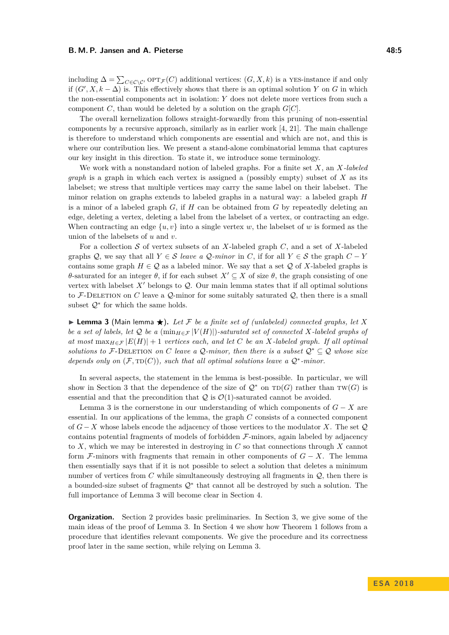including  $\Delta = \sum_{C \in \mathcal{C} \setminus C'} \text{OPT}_{\mathcal{F}}(C)$  additional vertices:  $(G, X, k)$  is a YES-instance if and only if  $(G', X, k - \Delta)$  is. This effectively shows that there is an optimal solution *Y* on *G* in which the non-essential components act in isolation: *Y* does not delete more vertices from such a component *C*, than would be deleted by a solution on the graph *G*[*C*].

The overall kernelization follows straight-forwardly from this pruning of non-essential components by a recursive approach, similarly as in earlier work [\[4,](#page-12-10) [21\]](#page-13-7). The main challenge is therefore to understand which components are essential and which are not, and this is where our contribution lies. We present a stand-alone combinatorial lemma that captures our key insight in this direction. To state it, we introduce some terminology.

We work with a nonstandard notion of labeled graphs. For a finite set *X*, an *X-labeled graph* is a graph in which each vertex is assigned a (possibly empty) subset of *X* as its labelset; we stress that multiple vertices may carry the same label on their labelset. The minor relation on graphs extends to labeled graphs in a natural way: a labeled graph *H* is a minor of a labeled graph *G*, if *H* can be obtained from *G* by repeatedly deleting an edge, deleting a vertex, deleting a label from the labelset of a vertex, or contracting an edge. When contracting an edge  $\{u, v\}$  into a single vertex *w*, the labelset of *w* is formed as the union of the labelsets of *u* and *v*.

For a collection S of vertex subsets of an *X*-labeled graph *C*, and a set of *X*-labeled graphs Q, we say that all  $Y \in \mathcal{S}$  *leave a* Q-minor in C, if for all  $Y \in \mathcal{S}$  the graph  $C - Y$ contains some graph  $H \in \mathcal{Q}$  as a labeled minor. We say that a set  $\mathcal{Q}$  of X-labeled graphs is *θ*-saturated for an integer *θ*, if for each subset  $X' \subseteq X$  of size *θ*, the graph consisting of one vertex with labelset  $X'$  belongs to  $\mathcal{Q}$ . Our main lemma states that if all optimal solutions to F-DELETION on C leave a  $\mathcal{Q}$ -minor for some suitably saturated  $\mathcal{Q}$ , then there is a small subset  $\mathcal{Q}^*$  for which the same holds.

<span id="page-4-0"></span> $\blacktriangleright$  **Lemma 3** (Main lemma  $\bigstar$ ). Let F be a finite set of (unlabeled) connected graphs, let X *be a set of labels, let*  $\mathcal Q$  *be a* ( $\min_{H \in \mathcal F} |V(H)|$ )*-saturated set of connected X-labeled graphs of at most*  $\max_{H \in \mathcal{F}} |E(H)| + 1$  *vertices each, and let C be an X-labeled graph. If all optimal solutions to*  $\mathcal{F}\text{-}\mathrm{DELETION}$  *on*  $C$  *leave* a  $Q\text{-}minor$ *, then there is a subset*  $Q^* \subset Q$  *whose size depends only on*  $(F, \text{TD}(C))$ *, such that all optimal solutions leave a*  $Q^*$ -minor.

In several aspects, the statement in the lemma is best-possible. In particular, we will show in Section [3](#page-6-0) that the dependence of the size of  $\mathcal{Q}^*$  on  $TD(G)$  rather than  $TW(G)$  is essential and that the precondition that  $\mathcal Q$  is  $\mathcal O(1)$ -saturated cannot be avoided.

Lemma [3](#page-4-0) is the cornerstone in our understanding of which components of *G* − *X* are essential. In our applications of the lemma, the graph *C* consists of a connected component of *G* − *X* whose labels encode the adjacency of those vertices to the modulator *X*. The set Q contains potential fragments of models of forbidden  $F$ -minors, again labeled by adjacency to *X*, which we may be interested in destroying in *C* so that connections through *X* cannot form  $\mathcal{F}\text{-minors with fragments that remain in other components of }G - X$ . The lemma then essentially says that if it is not possible to select a solution that deletes a minimum number of vertices from C while simultaneously destroying all fragments in  $\mathcal{Q}$ , then there is a bounded-size subset of fragments  $\mathcal{Q}^*$  that cannot all be destroyed by such a solution. The full importance of Lemma [3](#page-4-0) will become clear in Section [4.](#page-7-0)

**Organization.** Section [2](#page-5-0) provides basic preliminaries. In Section [3,](#page-6-0) we give some of the main ideas of the proof of Lemma [3.](#page-4-0) In Section [4](#page-7-0) we show how Theorem [1](#page-3-0) follows from a procedure that identifies relevant components. We give the procedure and its correctness proof later in the same section, while relying on Lemma [3.](#page-4-0)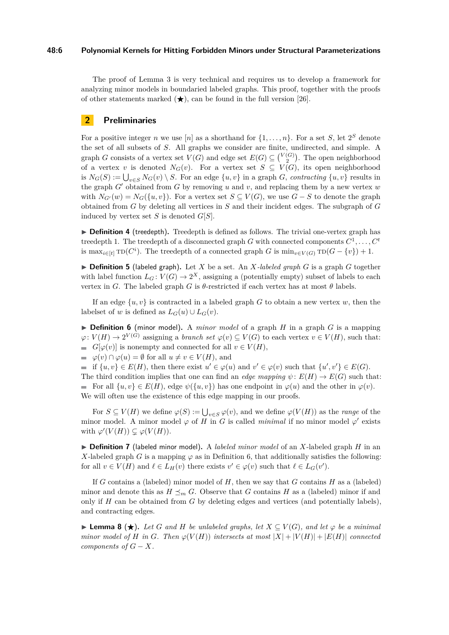#### **48:6 Polynomial Kernels for Hitting Forbidden Minors under Structural Parameterizations**

The proof of Lemma [3](#page-4-0) is very technical and requires us to develop a framework for analyzing minor models in boundaried labeled graphs. This proof, together with the proofs of other statements marked  $(\star)$ , can be found in the full version [\[26\]](#page-13-0).

## <span id="page-5-0"></span>**2 Preliminaries**

For a positive integer *n* we use [*n*] as a shorthand for  $\{1, \ldots, n\}$ . For a set *S*, let  $2^S$  denote the set of all subsets of *S*. All graphs we consider are finite, undirected, and simple. A graph *G* consists of a vertex set  $V(G)$  and edge set  $E(G) \subseteq {V(G) \choose 2}$ . The open neighborhood of a vertex *v* is denoted  $N_G(v)$ . For a vertex set  $S \subseteq V(G)$ , its open neighborhood is  $N_G(S) := \bigcup_{v \in S} N_G(v) \setminus S$ . For an edge  $\{u, v\}$  in a graph *G*, *contracting*  $\{u, v\}$  results in the graph  $G'$  obtained from  $G$  by removing  $u$  and  $v$ , and replacing them by a new vertex  $w$ with  $N_{G'}(w) = N_G({u, v})$ . For a vertex set  $S \subseteq V(G)$ , we use  $G - S$  to denote the graph obtained from *G* by deleting all vertices in *S* and their incident edges. The subgraph of *G* induced by vertex set *S* is denoted *G*[*S*].

<span id="page-5-2"></span>► **Definition 4** (treedepth). Treedepth is defined as follows. The trivial one-vertex graph has treedepth 1. The treedepth of a disconnected graph *G* with connected components  $C^1, \ldots, C^t$ is max<sub>*i*∈[*t*]</sub>  $\text{TD}(C^i)$ . The treedepth of a connected graph *G* is  $\min_{v \in V(G)} \text{TD}(G - \{v\}) + 1$ .

 $\triangleright$  **Definition 5** (labeled graph). Let *X* be a set. An *X-labeled graph G* is a graph *G* together with label function  $L_G: V(G) \to 2^X$ , assigning a (potentially empty) subset of labels to each vertex in *G*. The labeled graph *G* is  $\theta$ -restricted if each vertex has at most  $\theta$  labels.

If an edge  $\{u, v\}$  is contracted in a labeled graph *G* to obtain a new vertex *w*, then the labelset of *w* is defined as  $L_G(u) \cup L_G(v)$ .

<span id="page-5-1"></span> $\triangleright$  **Definition 6** (minor model). A *minor model* of a graph *H* in a graph *G* is a mapping  $\varphi: V(H) \to 2^{V(G)}$  assigning a *branch set*  $\varphi(v) \subseteq V(G)$  to each vertex  $v \in V(H)$ , such that: *G*[ $\varphi$ (*v*)] is nonempty and connected for all  $v \in V(H)$ ,

 $\varphi(v) \cap \varphi(u) = \emptyset$  for all  $u \neq v \in V(H)$ , and

if  $\{u, v\} \in E(H)$ , then there exist  $u' \in \varphi(u)$  and  $v' \in \varphi(v)$  such that  $\{u', v'\} \in E(G)$ . The third condition implies that one can find an *edge mapping*  $\psi$ :  $E(H) \rightarrow E(G)$  such that: For all  $\{u, v\} \in E(H)$ , edge  $\psi(\{u, v\})$  has one endpoint in  $\varphi(u)$  and the other in  $\varphi(v)$ . We will often use the existence of this edge mapping in our proofs.

For  $S \subseteq V(H)$  we define  $\varphi(S) := \bigcup_{v \in S} \varphi(v)$ , and we define  $\varphi(V(H))$  as the *range* of the minor model. A minor model  $\varphi$  of *H* in *G* is called *minimal* if no minor model  $\varphi'$  exists with  $\varphi'(V(H)) \subsetneq \varphi(V(H)).$ 

▶ **Definition 7** (labeled minor model). A *labeled minor model* of an *X*-labeled graph *H* in an *X*-labeled graph *G* is a mapping  $\varphi$  as in Definition [6,](#page-5-1) that additionally satisfies the following: for all  $v \in V(H)$  and  $\ell \in L_H(v)$  there exists  $v' \in \varphi(v)$  such that  $\ell \in L_G(v')$ .

If *G* contains a (labeled) minor model of *H*, then we say that *G* contains *H* as a (labeled) minor and denote this as  $H \leq_m G$ . Observe that *G* contains *H* as a (labeled) minor if and only if *H* can be obtained from *G* by deleting edges and vertices (and potentially labels), and contracting edges.

<span id="page-5-3"></span>**► Lemma 8 (★).** Let G and H be unlabeled graphs, let  $X \subseteq V(G)$ , and let  $\varphi$  be a minimal *minor model of H in G. Then*  $\varphi(V(H))$  *intersects at most*  $|X| + |V(H)| + |E(H)|$  *connected components of*  $G - X$ *.*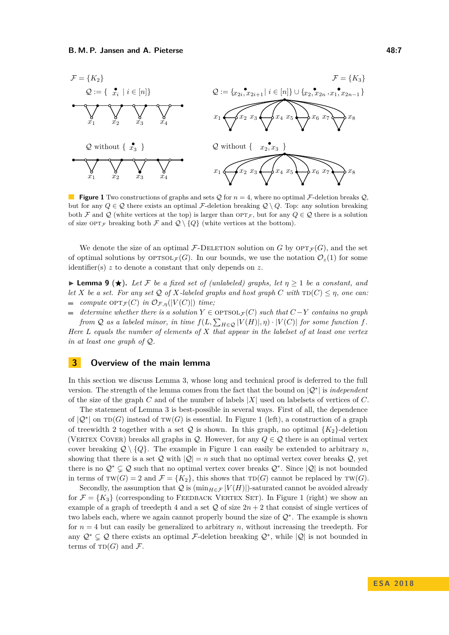<span id="page-6-1"></span>

**Figure 1** Two constructions of graphs and sets Q for  $n = 4$ , where no optimal F-deletion breaks Q. but for any  $Q \in \mathcal{Q}$  there exists an optimal F-deletion breaking  $\mathcal{Q} \setminus Q$ . Top: any solution breaking both F and Q (white vertices at the top) is larger than  $\text{OPT}_{\mathcal{F}}$ , but for any  $Q \in \mathcal{Q}$  there is a solution of size  $\text{OPT}_{\mathcal{F}}$  breaking both  $\mathcal{F}$  and  $\mathcal{Q} \setminus \{Q\}$  (white vertices at the bottom).

We denote the size of an optimal  $\mathcal{F}\text{-}\mathrm{DEL}$  FION solution on *G* by  $\mathrm{OPT}_{\mathcal{F}}(G)$ , and the set of optimal solutions by  $\text{OPTSOL}_{\mathcal{F}}(G)$ . In our bounds, we use the notation  $\mathcal{O}_z(1)$  for some identifier(s) *z* to denote a constant that only depends on *z*.

<span id="page-6-2"></span>**I Lemma 9 (** $\star$ **).** Let F be a fixed set of (unlabeled) graphs, let  $\eta \geq 1$  be a constant, and *let X be a set. For any set*  $Q$  *of X-labeled graphs and host graph C with*  $TD(C) \leq \eta$ *, one can: compute*  $\text{OPT}_{\mathcal{F}}(C)$  *in*  $\mathcal{O}_{\mathcal{F},\eta}(|V(C)|)$  *time;*  $\sim$ 

*determine whether there is a solution*  $Y \in \text{OPTSOL}_{\mathcal{F}}(C)$  *such that*  $C-Y$  *contains no graph from*  $Q$  *as a labeled minor, in time*  $f(L, \sum_{H \in Q} |V(H)|, \eta) \cdot |V(C)|$  *for some function*  $f$ *.* 

*Here L equals the number of elements of X that appear in the labelset of at least one vertex in at least one graph of* Q*.*

## <span id="page-6-0"></span>**3 Overview of the main lemma**

In this section we discuss Lemma [3,](#page-4-0) whose long and technical proof is deferred to the full version. The strength of the lemma comes from the fact that the bound on |Q<sup>∗</sup> | is *independent* of the size of the graph *C* and of the number of labels |*X*| used on labelsets of vertices of *C*.

The statement of Lemma [3](#page-4-0) is best-possible in several ways. First of all, the dependence of  $|Q^*|$  on TD(*G*) instead of TW(*G*) is essential. In Figure [1](#page-6-1) (left), a construction of a graph of treewidth 2 together with a set  $Q$  is shown. In this graph, no optimal  ${K_2}$ -deletion (VERTEX COVER) breaks all graphs in  $\mathcal{Q}$ . However, for any  $Q \in \mathcal{Q}$  there is an optimal vertex cover breaking  $Q \setminus \{Q\}$ . The example in Figure [1](#page-6-1) can easily be extended to arbitrary *n*, showing that there is a set  $\mathcal{Q}$  with  $|\mathcal{Q}| = n$  such that no optimal vertex cover breaks  $\mathcal{Q}$ , yet there is no  $\mathcal{Q}^* \subsetneq \mathcal{Q}$  such that no optimal vertex cover breaks  $\mathcal{Q}^*$ . Since  $|\mathcal{Q}|$  is not bounded in terms of  $TW(G) = 2$  and  $\mathcal{F} = \{K_2\}$ , this shows that  $TD(G)$  cannot be replaced by  $TW(G)$ .

Secondly, the assumption that Q is  $(\min_{H \in \mathcal{F}} |V(H)|)$ -saturated cannot be avoided already for  $\mathcal{F} = \{K_3\}$  (corresponding to FEEDBACK VERTEX SET). In Figure [1](#page-6-1) (right) we show an example of a graph of treedepth 4 and a set  $Q$  of size  $2n + 2$  that consist of single vertices of two labels each, where we again cannot properly bound the size of Q<sup>∗</sup> . The example is shown for  $n = 4$  but can easily be generalized to arbitrary *n*, without increasing the treedepth. For any  $\mathcal{Q}^* \subsetneq \mathcal{Q}$  there exists an optimal F-deletion breaking  $\mathcal{Q}^*$ , while  $|\mathcal{Q}|$  is not bounded in terms of  $TD(G)$  and F.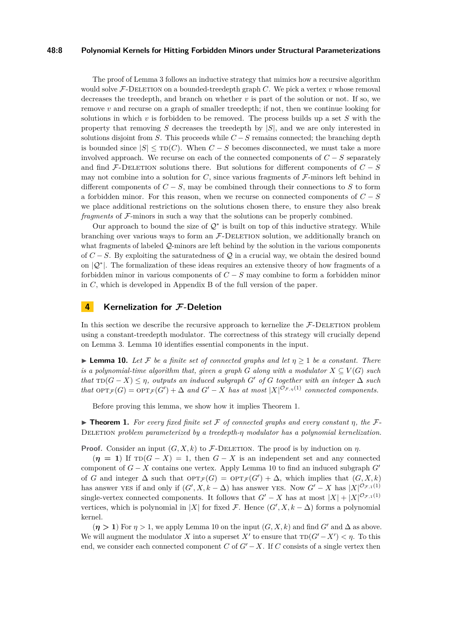#### **48:8 Polynomial Kernels for Hitting Forbidden Minors under Structural Parameterizations**

The proof of Lemma [3](#page-4-0) follows an inductive strategy that mimics how a recursive algorithm would solve  $F$ -DELETION on a bounded-treedepth graph  $C$ . We pick a vertex  $v$  whose removal decreases the treedepth, and branch on whether  $v$  is part of the solution or not. If so, we remove *v* and recurse on a graph of smaller treedepth; if not, then we continue looking for solutions in which *v* is forbidden to be removed. The process builds up a set *S* with the property that removing *S* decreases the treedepth by |*S*|, and we are only interested in solutions disjoint from *S*. This proceeds while  $C-S$  remains connected; the branching depth is bounded since  $|S| \leq \text{TD}(C)$ . When  $C-S$  becomes disconnected, we must take a more involved approach. We recurse on each of the connected components of  $C-S$  separately and find  $\mathcal{F}\text{-}\text{DELETION}$  solutions there. But solutions for different components of  $C-S$ may not combine into a solution for  $C$ , since various fragments of  $\mathcal{F}\text{-minors}$  left behind in different components of  $C - S$ , may be combined through their connections to *S* to form a forbidden minor. For this reason, when we recurse on connected components of *C* − *S* we place additional restrictions on the solutions chosen there, to ensure they also break *fragments* of F-minors in such a way that the solutions can be properly combined.

Our approach to bound the size of  $\mathcal{Q}^*$  is built on top of this inductive strategy. While branching over various ways to form an  $F$ -DELETION solution, we additionally branch on what fragments of labeled  $\mathcal{Q}$ -minors are left behind by the solution in the various components of  $C-S$ . By exploiting the saturatedness of Q in a crucial way, we obtain the desired bound on |Q<sup>∗</sup> |. The formalization of these ideas requires an extensive theory of how fragments of a forbidden minor in various components of *C* − *S* may combine to form a forbidden minor in *C*, which is developed in Appendix B of the full version of the paper.

## <span id="page-7-0"></span>**4 Kernelization for F-Deletion**

In this section we describe the recursive approach to kernelize the  $F$ -DELETION problem using a constant-treedepth modulator. The correctness of this strategy will crucially depend on Lemma [3.](#page-4-0) Lemma [10](#page-7-1) identifies essential components in the input.

<span id="page-7-1"></span>**Lemma 10.** Let F be a finite set of connected graphs and let  $\eta > 1$  be a constant. There *is a polynomial-time algorithm that, given a graph G* along with a modulator  $X \subseteq V(G)$  such  $that \text{TD}(G - X) \leq \eta$ , outputs an induced subgraph G' of G together with an integer  $\Delta$  such *that*  $\text{OPT}_{\mathcal{F}}(G) = \text{OPT}_{\mathcal{F}}(G') + \Delta$  *and*  $G' - X$  *has at most*  $|X|^{O_{\mathcal{F},\eta}(1)}$  *connected components.* 

Before proving this lemma, we show how it implies Theorem [1.](#page-3-0)

**Figure [1.](#page-3-0)** For every fixed finite set F of connected graphs and every constant  $\eta$ , the F-Deletion *problem parameterized by a treedepth-η modulator has a polynomial kernelization.*

**Proof.** Consider an input  $(G, X, k)$  to F-DELETION. The proof is by induction on  $\eta$ .

 $(\eta = 1)$  If  $\text{TD}(G - X) = 1$ , then  $G - X$  is an independent set and any connected component of  $G - X$  contains one vertex. Apply Lemma [10](#page-7-1) to find an induced subgraph  $G<sup>0</sup>$ of *G* and integer  $\Delta$  such that  $\mathrm{OPT}_{\mathcal{F}}(G) = \mathrm{OPT}_{\mathcal{F}}(G') + \Delta$ , which implies that  $(G, X, k)$ has answer yes if and only if  $(G', X, k - \Delta)$  has answer yes. Now  $G' - X$  has  $|X|^{O_{\mathcal{F},1}(1)}$ single-vertex connected components. It follows that  $G' - X$  has at most  $|X| + |X|^{\mathcal{O}_{\mathcal{F},1}(1)}$ vertices, which is polynomial in |*X*| for fixed  $\mathcal{F}$ . Hence  $(G', X, k - \Delta)$  forms a polynomial kernel.

 $(n > 1)$  For  $n > 1$ , we apply Lemma [10](#page-7-1) on the input  $(G, X, k)$  and find *G'* and  $\Delta$  as above. We will augment the modulator *X* into a superset  $X'$  to ensure that  $\text{TD}(G'-X') < \eta$ . To this end, we consider each connected component *C* of  $G' - X$ . If *C* consists of a single vertex then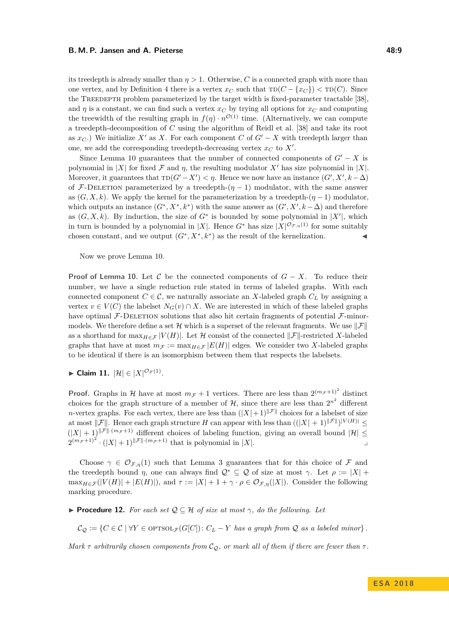its treedepth is already smaller than  $\eta > 1$ . Otherwise, C is a connected graph with more than one vertex, and by Definition [4](#page-5-2) there is a vertex  $x_C$  such that  $TD(C - \{x_C\}) < TD(C)$ . Since the TREEDEPTH problem parameterized by the target width is fixed-parameter tractable [\[38\]](#page-14-4). and  $\eta$  is a constant, we can find such a vertex  $x_C$  by trying all options for  $x_C$  and computing the treewidth of the resulting graph in  $f(\eta) \cdot n^{\mathcal{O}(1)}$  time. (Alternatively, we can compute a treedepth-decomposition of *C* using the algorithm of Reidl et al. [\[38\]](#page-14-4) and take its root as  $x_C$ .) We initialize  $X'$  as  $X$ . For each component  $C$  of  $G' - X$  with treedepth larger than one, we add the corresponding treedepth-decreasing vertex  $x_C$  to  $X'$ .

Since Lemma [10](#page-7-1) guarantees that the number of connected components of  $G' - X$  is polynomial in |*X*| for fixed  $\mathcal F$  and  $\eta$ , the resulting modulator  $X'$  has size polynomial in |*X*|. Moreover, it guarantees that  $\text{TD}(G'-X') < \eta$ . Hence we now have an instance  $(G', X', k-\Delta)$ of F-DELETION parameterized by a treedepth- $(\eta - 1)$  modulator, with the same answer as  $(G, X, k)$ . We apply the kernel for the parameterization by a treedepth- $(\eta - 1)$  modulator, which outputs an instance  $(G^*, X^*, k^*)$  with the same answer as  $(G', X', k - \Delta)$  and therefore as  $(G, X, k)$ . By induction, the size of  $G^*$  is bounded by some polynomial in  $|X'|$ , which in turn is bounded by a polynomial in |X|. Hence  $G^*$  has size  $|X|^{O_{\mathcal{F},\eta}(1)}$  for some suitably chosen constant, and we output  $(G^*, X^*, k^*)$  as the result of the kernelization.

Now we prove Lemma [10.](#page-7-1)

**Proof of Lemma [10.](#page-7-1)** Let C be the connected components of  $G - X$ . To reduce their number, we have a single reduction rule stated in terms of labeled graphs. With each connected component  $C \in \mathcal{C}$ , we naturally associate an *X*-labeled graph  $C_L$  by assigning a vertex  $v \in V(C)$  the labelset  $N_G(v) \cap X$ . We are interested in which of these labeled graphs have optimal  $\mathcal{F}\text{-}\text{DELETION}$  solutions that also hit certain fragments of potential  $\mathcal{F}\text{-}\text{minor}$ models. We therefore define a set H which is a superset of the relevant fragments. We use  $||\mathcal{F}||$ as a shorthand for  $\max_{H \in \mathcal{F}} |V(H)|$ . Let H consist of the connected  $\|\mathcal{F}\|$ -restricted X-labeled graphs that have at most  $m_F := \max_{H \in \mathcal{F}} |E(H)|$  edges. We consider two X-labeled graphs to be identical if there is an isomorphism between them that respects the labelsets.

► Claim 11.  $|\mathcal{H}| \in |X|^{\mathcal{O}_{\mathcal{F}}(1)}$ .

**Proof.** Graphs in H have at most  $m_F + 1$  vertices. There are less than  $2^{(m_F + 1)^2}$  distinct choices for the graph structure of a member of  $H$ , since there are less than  $2^{n^2}$  different *n*-vertex graphs. For each vertex, there are less than  $(|X|+1)^{||\mathcal{F}||}$  choices for a labelset of size at most  $\|\mathcal{F}\|$ . Hence each graph structure *H* can appear with less than  $((|X| + 1)^{\|\mathcal{F}\|})^{|V(H)|} \le$  $(|X|+1)^{||\mathcal{F}||\cdot(m_{\mathcal{F}}+1)}$  different choices of labeling function, giving an overall bound  $|\mathcal{H}| \leq$  $2^{(m_{\mathcal{F}}+1)^2} \cdot (|X|+1)^{\|\mathcal{F}\| \cdot (m_{\mathcal{F}}+1)}$  that is polynomial in  $|X|$ .

Choose  $\gamma \in \mathcal{O}_{\mathcal{F},n}(1)$  such that Lemma [3](#page-4-0) guarantees that for this choice of  $\mathcal F$  and the treedepth bound *η*, one can always find  $\mathcal{Q}^* \subseteq \mathcal{Q}$  of size at most  $\gamma$ . Let  $\rho := |X| +$  $\max_{H \in \mathcal{F}}(|V(H)| + |E(H)|)$ , and  $\tau := |X| + 1 + \gamma \cdot \rho \in \mathcal{O}_{\mathcal{F},\eta}(|X|)$ . Consider the following marking procedure.

**► Procedure 12.** For each set  $Q ⊆ H$  of size at most  $\gamma$ , do the following. Let

 $C_Q := \{C \in \mathcal{C} \mid \forall Y \in \text{OFTSOL}_{\mathcal{F}}(G[C]) : C_L - Y \text{ has a graph from } Q \text{ as a labeled minor}\}.$ 

*Mark*  $\tau$  *arbitrarily chosen components from*  $C_{\mathcal{Q}}$ , *or mark all of them if there are fewer than*  $\tau$ .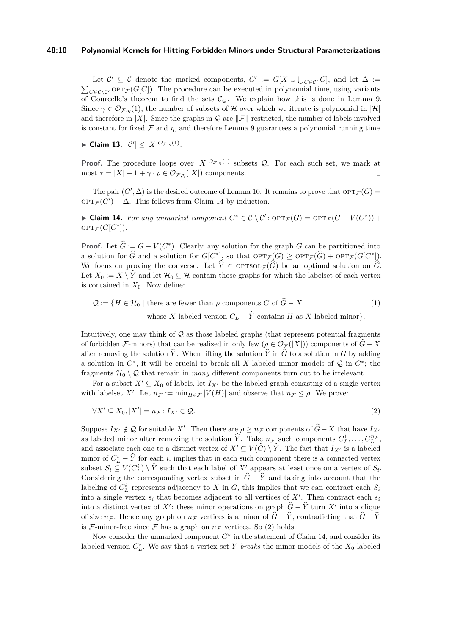#### **48:10 Polynomial Kernels for Hitting Forbidden Minors under Structural Parameterizations**

Let  $\mathcal{C}' \subseteq \mathcal{C}$  denote the marked components,  $G' := G[X \cup \bigcup_{C \in \mathcal{C}'} C]$ , and let  $\Delta :=$  $\sum_{C \in \mathcal{C} \setminus \mathcal{C}'}$  opt $\tau_{\mathcal{F}}(G[C])$ . The procedure can be executed in polynomial time, using variants of Courcelle's theorem to find the sets  $\mathcal{C}_{\mathcal{Q}}$ . We explain how this is done in Lemma [9.](#page-6-2) Since  $\gamma \in \mathcal{O}_{\mathcal{F},\eta}(1)$ , the number of subsets of H over which we iterate is polynomial in  $|\mathcal{H}|$ and therefore in |*X*|. Since the graphs in  $\mathcal Q$  are  $\|\mathcal F\|$ -restricted, the number of labels involved is constant for fixed  $\mathcal F$  and  $\eta$ , and therefore Lemma [9](#page-6-2) guarantees a polynomial running time.

► Claim 13.  $|C'|$   $\leq |X|^{O_{\mathcal{F},\eta}(1)}$ .

**Proof.** The procedure loops over  $|X|^{O_{\mathcal{F},\eta}(1)}$  subsets Q. For each such set, we mark at  $\text{most } \tau = |X| + 1 + \gamma \cdot \rho \in \mathcal{O}_{\mathcal{F},\eta}(|X|) \text{ components.}$ 

The pair  $(G', \Delta)$  is the desired outcome of Lemma [10.](#page-7-1) It remains to prove that  $OPT_{\mathcal{F}}(G)$  =  $OPT_{\mathcal{F}}(G') + \Delta$ . This follows from Claim [14](#page-9-0) by induction.

<span id="page-9-0"></span>► Claim 14. For any unmarked component  $C^* \in \mathcal{C} \setminus \mathcal{C}'$ :  $\text{OPT}_{\mathcal{F}}(G) = \text{OPT}_{\mathcal{F}}(G - V(C^*))$  $\mathrm{OPT}_{\mathcal{F}}(G[C^*]).$ 

**Proof.** Let  $\hat{G} := G - V(C^*)$ . Clearly, any solution for the graph *G* can be partitioned into a solution for  $\widehat{G}$  and a solution for  $G[C^*]$ , so that  $\operatorname{OPT}_{\mathcal{F}}(G) \geq \operatorname{OPT}_{\mathcal{F}}(\widehat{G}) + \operatorname{OPT}_{\mathcal{F}}(G[C^*])$ . We focus on proving the converse. Let  $\hat{Y} \in \text{OPTSOL}_{\mathcal{F}}(\hat{G})$  be an optimal solution on  $\hat{G}$ . Let  $X_0 := X \setminus \hat{Y}$  and let  $\mathcal{H}_0 \subseteq \mathcal{H}$  contain those graphs for which the labelset of each vertex is contained in  $X_0$ . Now define:

<span id="page-9-2"></span>
$$
Q := \{ H \in \mathcal{H}_0 \mid \text{there are fewer than } \rho \text{ components } C \text{ of } \widehat{G} - X \tag{1}
$$
  
whose X-labeled version  $C_L - \widehat{Y}$  contains H as X-labeled minor.

Intuitively, one may think of  $Q$  as those labeled graphs (that represent potential fragments of forbidden F-minors) that can be realized in only few  $(\rho \in \mathcal{O}_{\mathcal{F}}(|X|))$  components of  $\widehat{G} - X$ after removing the solution  $\hat{Y}$ . When lifting the solution  $\hat{Y}$  in  $\hat{G}$  to a solution in *G* by adding a solution in  $C^*$ , it will be crucial to break all X-labeled minor models of  $Q$  in  $C^*$ ; the fragments  $\mathcal{H}_0 \setminus \mathcal{Q}$  that remain in *many* different components turn out to be irrelevant.

For a subset  $X' \subseteq X_0$  of labels, let  $I_{X'}$  be the labeled graph consisting of a single vertex with labelset X'. Let  $n_F := \min_{H \in \mathcal{F}} |V(H)|$  and observe that  $n_F \leq \rho$ . We prove:

<span id="page-9-1"></span>
$$
\forall X' \subseteq X_0, |X'| = n_{\mathcal{F}} \colon I_{X'} \in \mathcal{Q}.\tag{2}
$$

Suppose  $I_X$ <sup>*i*</sup>  $\notin \mathcal{Q}$  for suitable *X'*. Then there are  $\rho \geq n$ <sub>F</sub> components of  $\widehat{G} - X$  that have  $I_X$ <sup>0</sup> as labeled minor after removing the solution  $\hat{Y}$ . Take  $n_F$  such components  $C_L^1, \ldots, C_L^{n_F}$ , and associate each one to a distinct vertex of  $X' \subseteq V(\widehat{G}) \setminus \widehat{Y}$ . The fact that  $I_{X'}$  is a labeled minor of  $C_{\overline{L}}^i - \hat{Y}$  for each *i*, implies that in each such component there is a connected vertex subset  $S_i \subseteq V(C_L^i) \setminus \hat{Y}$  such that each label of  $X'$  appears at least once on a vertex of  $S_i$ . Considering the corresponding vertex subset in  $\hat{G} - \hat{Y}$  and taking into account that the labeling of  $C_L^i$  represents adjacency to *X* in *G*, this implies that we can contract each  $S_i$ into a single vertex  $s_i$  that becomes adjacent to all vertices of  $X'$ . Then contract each  $s_i$ into a distinct vertex of *X*<sup> $\prime$ </sup>: these minor operations on graph  $\hat{G} - \hat{Y}$  turn *X*<sup>0</sup> into a clique of size  $n_F$ . Hence any graph on  $n_F$  vertices is a minor of  $\hat{G} - \hat{Y}$ , contradicting that  $\hat{G} - \hat{Y}$ is F-minor-free since F has a graph on  $n_F$  vertices. So [\(2\)](#page-9-1) holds.

Now consider the unmarked component  $C^*$  in the statement of Claim [14,](#page-9-0) and consider its labeled version  $C_L^*$ . We say that a vertex set *Y breaks* the minor models of the  $X_0$ -labeled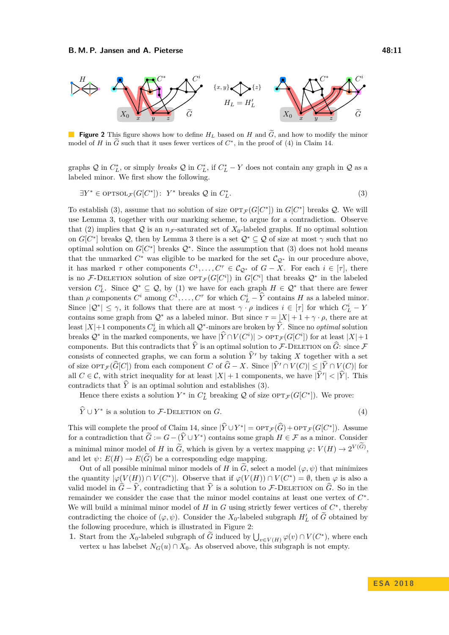<span id="page-10-2"></span>

**Figure 2** This figure shows how to define  $H_L$  based on  $H$  and  $\tilde{G}$ , and how to modify the minor model of *H* in  $\tilde{G}$  such that it uses fewer vertices of  $C^*$ , in the proof of [\(4\)](#page-10-0) in Claim [14.](#page-9-0)

graphs  $Q$  in  $C_L^*$ , or simply *breaks*  $Q$  in  $C_L^*$ , if  $C_L^* - Y$  does not contain any graph in  $Q$  as a labeled minor. We first show the following.

<span id="page-10-1"></span>
$$
\exists Y^* \in \text{OPTSOL}_{\mathcal{F}}(G[C^*]): Y^* \text{ breaks } Q \text{ in } C^*_L. \tag{3}
$$

To establish [\(3\)](#page-10-1), assume that no solution of size  $\text{OPT}_{\mathcal{F}}(G[C^*])$  in  $G[C^*]$  breaks  $\mathcal{Q}$ . We will use Lemma [3,](#page-4-0) together with our marking scheme, to argue for a contradiction. Observe that [\(2\)](#page-9-1) implies that  $Q$  is an  $n_F$ -saturated set of  $X_0$ -labeled graphs. If no optimal solution on  $G[C^*]$  breaks Q, then by Lemma [3](#page-4-0) there is a set  $\mathcal{Q}^* \subseteq \mathcal{Q}$  of size at most  $\gamma$  such that no optimal solution on  $G[C^*]$  breaks  $\mathcal{Q}^*$ . Since the assumption that [\(3\)](#page-10-1) does not hold means that the unmarked  $C^*$  was eligible to be marked for the set  $\mathcal{C}_{\mathcal{Q}^*}$  in our procedure above, it has marked  $\tau$  other components  $C^1, \ldots, C^{\tau} \in C_{\mathcal{Q}^*}$  of  $G - X$ . For each  $i \in [\tau]$ , there is no F-DELETION solution of size  $\text{OPT}_{\mathcal{F}}(G[C^i])$  in  $G[C^i]$  that breaks  $\mathcal{Q}^*$  in the labeled version  $C_L^i$ . Since  $\mathcal{Q}^* \subseteq \mathcal{Q}$ , by [\(1\)](#page-9-2) we have for each graph  $H \in \mathcal{Q}^*$  that there are fewer than  $\rho$  components  $C^i$  among  $C^1, \ldots, C^{\tau}$  for which  $C^i_L - \hat{Y}$  contains *H* as a labeled minor. Since  $|Q^*| \leq \gamma$ , it follows that there are at most  $\gamma \cdot \rho$  indices  $i \in [\tau]$  for which  $C^i_L - Y$ contains some graph from  $Q^*$  as a labeled minor. But since  $\tau = |X| + 1 + \gamma \cdot \rho$ , there are at least  $|X|+1$  components  $C_L^i$  in which all  $Q^*$ -minors are broken by  $\hat{Y}$ . Since no *optimal* solution breaks  $\mathcal{Q}^*$  in the marked components, we have  $|\hat{Y} \cap V(C^i)| > \text{OPT}_{\mathcal{F}}(G[C^i])$  for at least  $|X|+1$ components. But this contradicts that  $\hat{Y}$  is an optimal solution to F-DELETION on  $\hat{G}$ : since F consists of connected graphs, we can form a solution  $\hat{Y}'$  by taking *X* together with a set of size  $\text{OPT}_{\mathcal{F}}(\widehat{G}[C])$  from each component *C* of  $\widehat{G} - X$ . Since  $|\widehat{Y}' \cap V(C)| \leq |\widehat{Y} \cap V(C)|$  for all  $C \in \mathcal{C}$ , with strict inequality for at least  $|X| + 1$  components, we have  $|\hat{Y}'| < |\hat{Y}|$ . This contradicts that  $\hat{Y}$  is an optimal solution and establishes [\(3\)](#page-10-1).

Hence there exists a solution  $Y^*$  in  $C^*_L$  breaking  $\mathcal Q$  of size  $\text{OPT}_{\mathcal F}(G[C^*])$ . We prove:

 $\widehat{Y} \cup Y^*$  is a solution to *F*-DELETION on *G*. (4)

<span id="page-10-0"></span>

This will complete the proof of Claim [14,](#page-9-0) since  $|\hat{Y} \cup Y^*| = \text{OPT}_{\mathcal{F}}(\hat{G}) + \text{OPT}_{\mathcal{F}}(G[C^*])$ . Assume for a contradiction that  $\tilde{G} := G - (\tilde{Y} \cup Y^*)$  contains some graph  $H \in \mathcal{F}$  as a minor. Consider a minimal minor model of *H* in  $\tilde{G}$ , which is given by a vertex mapping  $\varphi: V(H) \to 2^{V(G)}$ , and let  $\psi: E(H) \to E(G)$  be a corresponding edge mapping.

Out of all possible minimal minor models of *H* in  $\tilde{G}$ , select a model ( $\varphi, \psi$ ) that minimizes the quantity  $|\varphi(V(H)) \cap V(C^*)|$ . Observe that if  $\varphi(V(H)) \cap V(C^*) = \emptyset$ , then  $\varphi$  is also a valid model in  $\hat{G} - \hat{Y}$ , contradicting that  $\hat{Y}$  is a solution to F-DELETION on  $\hat{G}$ . So in the remainder we consider the case that the minor model contains at least one vertex of *C* ∗ . We will build a minimal minor model of  $H$  in  $G$  using strictly fewer vertices of  $C^*$ , thereby contradicting the choice of  $(\varphi, \psi)$ . Consider the  $X_0$ -labeled subgraph  $H'_L$  of  $\widetilde{G}$  obtained by the following procedure, which is illustrated in Figure [2:](#page-10-2)

**1.** Start from the  $X_0$ -labeled subgraph of  $\tilde{G}$  induced by  $\bigcup_{v \in V(H)} \varphi(v) \cap V(C^*)$ , where each vertex *u* has labelset  $N_G(u) \cap X_0$ . As observed above, this subgraph is not empty.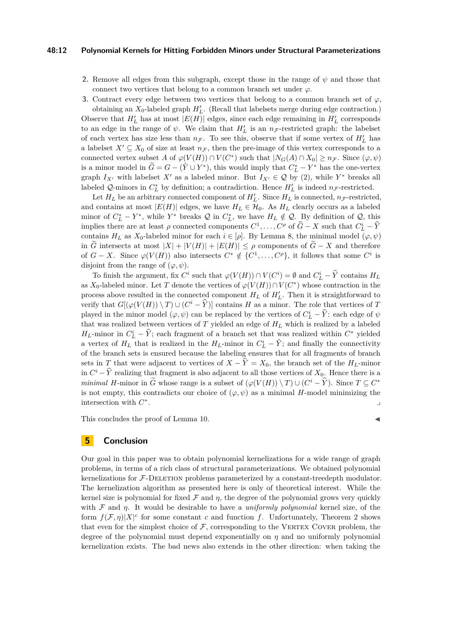#### **48:12 Polynomial Kernels for Hitting Forbidden Minors under Structural Parameterizations**

- **2.** Remove all edges from this subgraph, except those in the range of  $\psi$  and those that connect two vertices that belong to a common branch set under *ϕ*.
- **3.** Contract every edge between two vertices that belong to a common branch set of  $\varphi$ ,

obtaining an  $X_0$ -labeled graph  $H'_L$ . (Recall that labelsets merge during edge contraction.) Observe that  $H'_L$  has at most  $|E(H)|$  edges, since each edge remaining in  $H'_L$  corresponds to an edge in the range of  $\psi$ . We claim that  $H'_{L}$  is an  $n_{\mathcal{F}}$ -restricted graph: the labelset of each vertex has size less than  $n_F$ . To see this, observe that if some vertex of  $H'_L$  has a labelset  $X' \subseteq X_0$  of size at least  $n_F$ , then the pre-image of this vertex corresponds to a connected vertex subset *A* of  $\varphi(V(H)) \cap V(C^*)$  such that  $|N_G(A) \cap X_0| \geq n_{\mathcal{F}}$ . Since  $(\varphi, \psi)$ is a minor model in  $\widetilde{G} = G - (\hat{Y} \cup Y^*)$ , this would imply that  $C^*_{L} - Y^*$  has the one-vertex graph  $I_{X'}$  with labelset  $X'$  as a labeled minor. But  $I_{X'} \in \mathcal{Q}$  by [\(2\)](#page-9-1), while  $Y^*$  breaks all labeled Q-minors in  $C_L^*$  by definition; a contradiction. Hence  $H'_L$  is indeed  $n_F$ -restricted.

Let  $H_L$  be an arbitrary connected component of  $H'_L$ . Since  $H_L$  is connected,  $n_F$ -restricted, and contains at most  $|E(H)|$  edges, we have  $H_L \in \mathcal{H}_0$ . As  $H_L$  clearly occurs as a labeled minor of  $C_L^* - Y^*$ , while  $Y^*$  breaks  $\mathcal Q$  in  $C_L^*$ , we have  $H_L \notin \mathcal Q$ . By definition of  $\mathcal Q$ , this implies there are at least  $\rho$  connected components  $C^1, \ldots, C^{\rho}$  of  $\widehat{G} - X$  such that  $C^i_L - \widehat{Y}$ contains  $H_L$  as  $X_0$ -labeled minor for each  $i \in [\rho]$ . By Lemma [8,](#page-5-3) the minimal model  $(\varphi, \psi)$ in  $\widetilde{G}$  intersects at most  $|X| + |V(H)| + |E(H)| \leq \rho$  components of  $\widetilde{G} - X$  and therefore of  $G - X$ . Since  $\varphi(V(H))$  also intersects  $C^* \notin \{C^1, \ldots, C^{\rho}\},$  it follows that some  $C^i$  is disjoint from the range of  $(\varphi, \psi)$ .

To finish the argument, fix  $C^i$  such that  $\varphi(V(H)) \cap V(C^i) = \emptyset$  and  $C^i_L - \hat{Y}$  contains  $H_L$ as  $X_0$ -labeled minor. Let *T* denote the vertices of  $\varphi(V(H)) \cap V(C^*)$  whose contraction in the process above resulted in the connected component  $H_L$  of  $H'_L$ . Then it is straightforward to verify that  $G[(\varphi(V(H)) \setminus T) \cup (C^i - \tilde{Y})]$  contains *H* as a minor. The role that vertices of *T* played in the minor model  $(\varphi, \psi)$  can be replaced by the vertices of  $C^i_L - \hat{Y}$ : each edge of  $\psi$ that was realized between vertices of *T* yielded an edge of *H<sup>L</sup>* which is realized by a labeled *H*<sub>*L*</sub>-minor in  $C_L^i$  –  $\hat{Y}$ ; each fragment of a branch set that was realized within  $C^*$  yielded a vertex of  $H_L$  that is realized in the  $H_L$ -minor in  $C^i_L - \hat{Y}$ ; and finally the connectivity of the branch sets is ensured because the labeling ensures that for all fragments of branch sets in *T* that were adjacent to vertices of  $X - \hat{Y} = X_0$ , the branch set of the *H<sub>L</sub>*-minor in  $C^i - \hat{Y}$  realizing that fragment is also adjacent to all those vertices of  $X_0$ . Hence there is a *minimal H*-minor in  $\tilde{G}$  whose range is a subset of  $(\varphi(V(H)) \setminus T) \cup (C^i - \hat{Y})$ . Since  $T \subseteq C^*$ is not empty, this contradicts our choice of  $(\varphi, \psi)$  as a minimal *H*-model minimizing the intersection with *C* ∗ . We also a set of the set of the set of the set of the set of the set of the set of the set of the set of the

This concludes the proof of Lemma [10.](#page-7-1)  $\blacksquare$ 

## **5 Conclusion**

Our goal in this paper was to obtain polynomial kernelizations for a wide range of graph problems, in terms of a rich class of structural parameterizations. We obtained polynomial kernelizations for F-DELETION problems parameterized by a constant-treedepth modulator. The kernelization algorithm as presented here is only of theoretical interest. While the kernel size is polynomial for fixed  $\mathcal F$  and  $\eta$ , the degree of the polynomial grows very quickly with F and *η*. It would be desirable to have a *uniformly polynomial* kernel size, of the form  $f(\mathcal{F}, \eta)|X|^c$  for some constant *c* and function *f*. Unfortunately, Theorem [2](#page-3-1) shows that even for the simplest choice of  $\mathcal F$ , corresponding to the VERTEX COVER problem, the degree of the polynomial must depend exponentially on  $\eta$  and no uniformly polynomial kernelization exists. The bad news also extends in the other direction: when taking the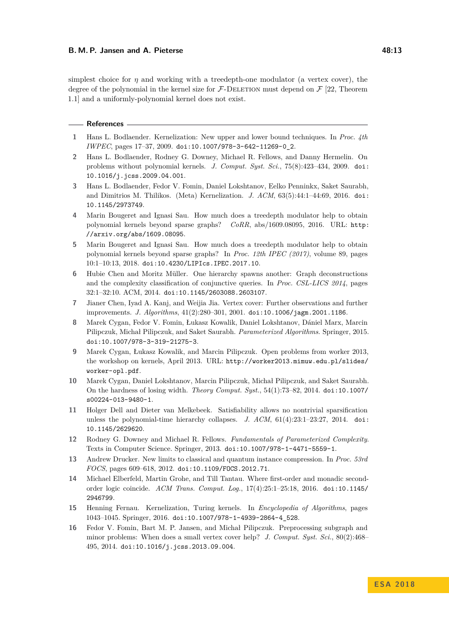#### **B. M. P. Jansen and A. Pieterse 48:13**

simplest choice for  $\eta$  and working with a treedepth-one modulator (a vertex cover), the degree of the polynomial in the kernel size for  $\mathcal{F}\text{-}\text{DELETION}$  must depend on  $\mathcal{F}$  [\[22,](#page-13-10) Theorem 1.1] and a uniformly-polynomial kernel does not exist.

#### **References**

- <span id="page-12-0"></span>**1** Hans L. Bodlaender. Kernelization: New upper and lower bound techniques. In *Proc. 4th IWPEC*, pages 17–37, 2009. [doi:10.1007/978-3-642-11269-0\\_2](http://dx.doi.org/10.1007/978-3-642-11269-0_2).
- <span id="page-12-5"></span>**2** Hans L. Bodlaender, Rodney G. Downey, Michael R. Fellows, and Danny Hermelin. On problems without polynomial kernels. *J. Comput. Syst. Sci.*, 75(8):423–434, 2009. [doi:](http://dx.doi.org/10.1016/j.jcss.2009.04.001) [10.1016/j.jcss.2009.04.001](http://dx.doi.org/10.1016/j.jcss.2009.04.001).
- <span id="page-12-3"></span>**3** Hans L. Bodlaender, Fedor V. Fomin, Daniel Lokshtanov, Eelko Penninkx, Saket Saurabh, and Dimitrios M. Thilikos. (Meta) Kernelization. *J. ACM*, 63(5):44:1–44:69, 2016. [doi:](http://dx.doi.org/10.1145/2973749) [10.1145/2973749](http://dx.doi.org/10.1145/2973749).
- <span id="page-12-10"></span>**4** Marin Bougeret and Ignasi Sau. How much does a treedepth modulator help to obtain polynomial kernels beyond sparse graphs? *CoRR*, abs/1609.08095, 2016. URL: [http:](http://arxiv.org/abs/1609.08095) [//arxiv.org/abs/1609.08095](http://arxiv.org/abs/1609.08095).
- <span id="page-12-15"></span>**5** Marin Bougeret and Ignasi Sau. How much does a treedepth modulator help to obtain polynomial kernels beyond sparse graphs? In *Proc. 12th IPEC (2017)*, volume 89, pages 10:1–10:13, 2018. [doi:10.4230/LIPIcs.IPEC.2017.10](http://dx.doi.org/10.4230/LIPIcs.IPEC.2017.10).
- <span id="page-12-12"></span>**6** Hubie Chen and Moritz Müller. One hierarchy spawns another: Graph deconstructions and the complexity classification of conjunctive queries. In *Proc. CSL-LICS 2014*, pages 32:1–32:10. ACM, 2014. [doi:10.1145/2603088.2603107](http://dx.doi.org/10.1145/2603088.2603107).
- <span id="page-12-8"></span>**7** Jianer Chen, Iyad A. Kanj, and Weijia Jia. Vertex cover: Further observations and further improvements. *J. Algorithms*, 41(2):280–301, 2001. [doi:10.1006/jagm.2001.1186](http://dx.doi.org/10.1006/jagm.2001.1186).
- <span id="page-12-1"></span>**8** Marek Cygan, Fedor V. Fomin, Łukasz Kowalik, Daniel Lokshtanov, Dániel Marx, Marcin Pilipczuk, Michał Pilipczuk, and Saket Saurabh. *Parameterized Algorithms*. Springer, 2015. [doi:10.1007/978-3-319-21275-3](http://dx.doi.org/10.1007/978-3-319-21275-3).
- <span id="page-12-14"></span>**9** Marek Cygan, Łukasz Kowalik, and Marcin Pilipczuk. Open problems from worker 2013, the workshop on kernels, April 2013. URL: [http://worker2013.mimuw.edu.pl/slides/](http://worker2013.mimuw.edu.pl/slides/worker-opl.pdf) [worker-opl.pdf](http://worker2013.mimuw.edu.pl/slides/worker-opl.pdf).
- <span id="page-12-11"></span>**10** Marek Cygan, Daniel Lokshtanov, Marcin Pilipczuk, Michał Pilipczuk, and Saket Saurabh. On the hardness of losing width. *Theory Comput. Syst.*, 54(1):73–82, 2014. [doi:10.1007/](http://dx.doi.org/10.1007/s00224-013-9480-1) [s00224-013-9480-1](http://dx.doi.org/10.1007/s00224-013-9480-1).
- <span id="page-12-6"></span>**11** Holger Dell and Dieter van Melkebeek. Satisfiability allows no nontrivial sparsification unless the polynomial-time hierarchy collapses. *J. ACM*, 61(4):23:1–23:27, 2014. [doi:](http://dx.doi.org/10.1145/2629620) [10.1145/2629620](http://dx.doi.org/10.1145/2629620).
- <span id="page-12-2"></span>**12** Rodney G. Downey and Michael R. Fellows. *Fundamentals of Parameterized Complexity*. Texts in Computer Science. Springer, 2013. [doi:10.1007/978-1-4471-5559-1](http://dx.doi.org/10.1007/978-1-4471-5559-1).
- <span id="page-12-7"></span>**13** Andrew Drucker. New limits to classical and quantum instance compression. In *Proc. 53rd FOCS*, pages 609–618, 2012. [doi:10.1109/FOCS.2012.71](http://dx.doi.org/10.1109/FOCS.2012.71).
- <span id="page-12-13"></span>**14** Michael Elberfeld, Martin Grohe, and Till Tantau. Where first-order and monadic secondorder logic coincide. *ACM Trans. Comput. Log.*, 17(4):25:1–25:18, 2016. [doi:10.1145/](http://dx.doi.org/10.1145/2946799) [2946799](http://dx.doi.org/10.1145/2946799).
- <span id="page-12-4"></span>**15** Henning Fernau. Kernelization, Turing kernels. In *Encyclopedia of Algorithms*, pages 1043–1045. Springer, 2016. [doi:10.1007/978-1-4939-2864-4\\_528](http://dx.doi.org/10.1007/978-1-4939-2864-4_528).
- <span id="page-12-9"></span>**16** Fedor V. Fomin, Bart M. P. Jansen, and Michał Pilipczuk. Preprocessing subgraph and minor problems: When does a small vertex cover help? *J. Comput. Syst. Sci.*, 80(2):468– 495, 2014. [doi:10.1016/j.jcss.2013.09.004](http://dx.doi.org/10.1016/j.jcss.2013.09.004).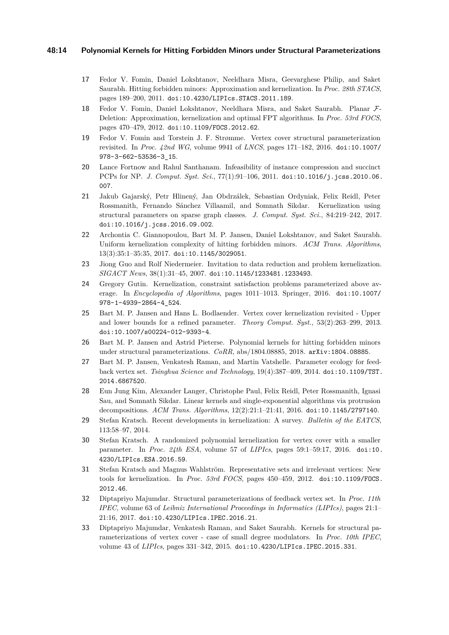#### **48:14 Polynomial Kernels for Hitting Forbidden Minors under Structural Parameterizations**

- <span id="page-13-8"></span>**17** Fedor V. Fomin, Daniel Lokshtanov, Neeldhara Misra, Geevarghese Philip, and Saket Saurabh. Hitting forbidden minors: Approximation and kernelization. In *Proc. 28th STACS*, pages 189–200, 2011. [doi:10.4230/LIPIcs.STACS.2011.189](http://dx.doi.org/10.4230/LIPIcs.STACS.2011.189).
- <span id="page-13-9"></span>**18** Fedor V. Fomin, Daniel Lokshtanov, Neeldhara Misra, and Saket Saurabh. Planar F-Deletion: Approximation, kernelization and optimal FPT algorithms. In *Proc. 53rd FOCS*, pages 470–479, 2012. [doi:10.1109/FOCS.2012.62](http://dx.doi.org/10.1109/FOCS.2012.62).
- <span id="page-13-12"></span>**19** Fedor V. Fomin and Torstein J. F. Strømme. Vertex cover structural parameterization revisited. In *Proc. 42nd WG*, volume 9941 of *LNCS*, pages 171–182, 2016. [doi:10.1007/](http://dx.doi.org/10.1007/978-3-662-53536-3_15) [978-3-662-53536-3\\_15](http://dx.doi.org/10.1007/978-3-662-53536-3_15).
- <span id="page-13-5"></span>**20** Lance Fortnow and Rahul Santhanam. Infeasibility of instance compression and succinct PCPs for NP. *J. Comput. Syst. Sci.*, 77(1):91–106, 2011. [doi:10.1016/j.jcss.2010.06.](http://dx.doi.org/10.1016/j.jcss.2010.06.007) [007](http://dx.doi.org/10.1016/j.jcss.2010.06.007).
- <span id="page-13-7"></span>**21** Jakub Gajarský, Petr Hlinený, Jan Obdrzálek, Sebastian Ordyniak, Felix Reidl, Peter Rossmanith, Fernando Sánchez Villaamil, and Somnath Sikdar. Kernelization using structural parameters on sparse graph classes. *J. Comput. Syst. Sci.*, 84:219–242, 2017. [doi:10.1016/j.jcss.2016.09.002](http://dx.doi.org/10.1016/j.jcss.2016.09.002).
- <span id="page-13-10"></span>**22** Archontia C. Giannopoulou, Bart M. P. Jansen, Daniel Lokshtanov, and Saket Saurabh. Uniform kernelization complexity of hitting forbidden minors. *ACM Trans. Algorithms*, 13(3):35:1–35:35, 2017. [doi:10.1145/3029051](http://dx.doi.org/10.1145/3029051).
- <span id="page-13-1"></span>**23** Jiong Guo and Rolf Niedermeier. Invitation to data reduction and problem kernelization. *SIGACT News*, 38(1):31–45, 2007. [doi:10.1145/1233481.1233493](http://dx.doi.org/10.1145/1233481.1233493).
- <span id="page-13-3"></span>**24** Gregory Gutin. Kernelization, constraint satisfaction problems parameterized above average. In *Encyclopedia of Algorithms*, pages 1011–1013. Springer, 2016. [doi:10.1007/](http://dx.doi.org/10.1007/978-1-4939-2864-4_524) [978-1-4939-2864-4\\_524](http://dx.doi.org/10.1007/978-1-4939-2864-4_524).
- <span id="page-13-6"></span>**25** Bart M. P. Jansen and Hans L. Bodlaender. Vertex cover kernelization revisited - Upper and lower bounds for a refined parameter. *Theory Comput. Syst.*, 53(2):263–299, 2013. [doi:10.1007/s00224-012-9393-4](http://dx.doi.org/10.1007/s00224-012-9393-4).
- <span id="page-13-0"></span>**26** Bart M. P. Jansen and Astrid Pieterse. Polynomial kernels for hitting forbidden minors under structural parameterizations. *CoRR*, abs/1804.08885, 2018. [arXiv:1804.08885](http://arxiv.org/abs/1804.08885).
- <span id="page-13-15"></span>**27** Bart M. P. Jansen, Venkatesh Raman, and Martin Vatshelle. Parameter ecology for feedback vertex set. *Tsinghua Science and Technology*, 19(4):387–409, 2014. [doi:10.1109/TST.](http://dx.doi.org/10.1109/TST.2014.6867520) [2014.6867520](http://dx.doi.org/10.1109/TST.2014.6867520).
- <span id="page-13-11"></span>**28** Eun Jung Kim, Alexander Langer, Christophe Paul, Felix Reidl, Peter Rossmanith, Ignasi Sau, and Somnath Sikdar. Linear kernels and single-exponential algorithms via protrusion decompositions. *ACM Trans. Algorithms*, 12(2):21:1–21:41, 2016. [doi:10.1145/2797140](http://dx.doi.org/10.1145/2797140).
- <span id="page-13-2"></span>**29** Stefan Kratsch. Recent developments in kernelization: A survey. *Bulletin of the EATCS*, 113:58–97, 2014.
- <span id="page-13-13"></span>**30** Stefan Kratsch. A randomized polynomial kernelization for vertex cover with a smaller parameter. In *Proc. 24th ESA*, volume 57 of *LIPIcs*, pages 59:1–59:17, 2016. [doi:10.](http://dx.doi.org/10.4230/LIPIcs.ESA.2016.59) [4230/LIPIcs.ESA.2016.59](http://dx.doi.org/10.4230/LIPIcs.ESA.2016.59).
- <span id="page-13-4"></span>**31** Stefan Kratsch and Magnus Wahlström. Representative sets and irrelevant vertices: New tools for kernelization. In *Proc. 53rd FOCS*, pages 450–459, 2012. [doi:10.1109/FOCS.](http://dx.doi.org/10.1109/FOCS.2012.46) [2012.46](http://dx.doi.org/10.1109/FOCS.2012.46).
- <span id="page-13-16"></span>**32** Diptapriyo Majumdar. Structural parameterizations of feedback vertex set. In *Proc. 11th IPEC*, volume 63 of *Leibniz International Proceedings in Informatics (LIPIcs)*, pages 21:1– 21:16, 2017. [doi:10.4230/LIPIcs.IPEC.2016.21](http://dx.doi.org/10.4230/LIPIcs.IPEC.2016.21).
- <span id="page-13-14"></span>**33** Diptapriyo Majumdar, Venkatesh Raman, and Saket Saurabh. Kernels for structural parameterizations of vertex cover - case of small degree modulators. In *Proc. 10th IPEC*, volume 43 of *LIPIcs*, pages 331–342, 2015. [doi:10.4230/LIPIcs.IPEC.2015.331](http://dx.doi.org/10.4230/LIPIcs.IPEC.2015.331).